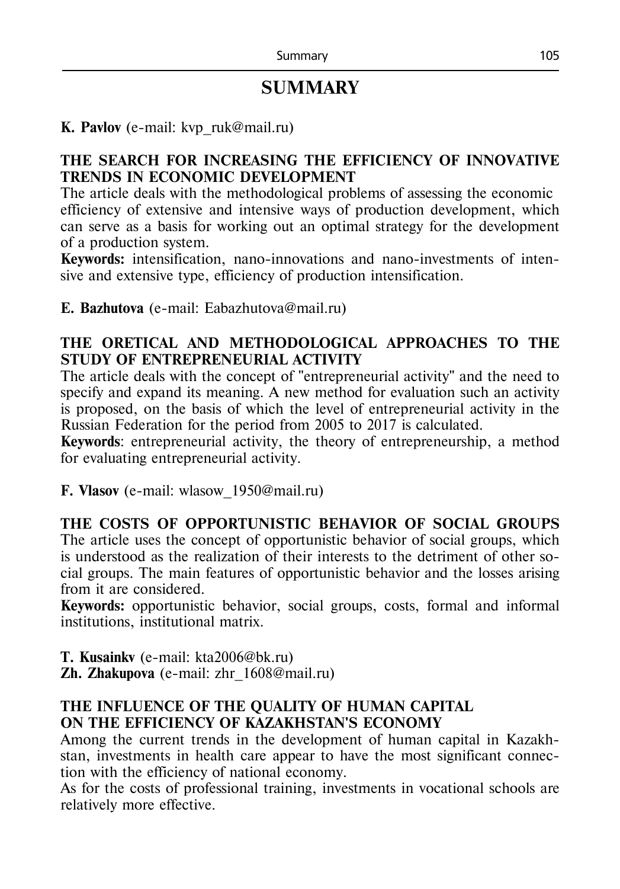# **SUMMARY**

#### **K. Pavlov** (e-mail: kvp\_ruk@mail.ru)

#### **THE SEARCH FOR INCREASING THE EFFICIENCY OF INNOVATIVE TRENDS IN ECONOMIC DEVELOPMENT**

The article deals with the methodological problems of assessing the economic efficiency of extensive and intensive ways of production development, which can serve as a basis for working out an optimal strategy for the development of a production system.

**Keywords:** intensification, nano-innovations and nano-investments of intensive and extensive type, efficiency of production intensification.

**E. Bazhutova** (e-mail: Eabazhutova@mail.ru)

#### **THE ORETICAL AND METHODOLOGICAL APPROACHES TO THE STUDY OF ENTREPRENEURIAL ACTIVITY**

The article deals with the concept of "entrepreneurial activity" and the need to specify and expand its meaning. A new method for evaluation such an activity is proposed, on the basis of which the level of entrepreneurial activity in the Russian Federation for the period from 2005 to 2017 is calculated.

**Keywords**: entrepreneurial activity, the theory of entrepreneurship, a method for evaluating entrepreneurial activity.

**F. Vlasov** (e-mail: wlasow\_1950@mail.ru)

# **THE COSTS OF OPPORTUNISTIC BEHAVIOR OF SOCIAL GROUPS**

The article uses the concept of opportunistic behavior of social groups, which is understood as the realization of their interests to the detriment of other social groups. The main features of opportunistic behavior and the losses arising from it are considered.

**Keywords:** opportunistic behavior, social groups, costs, formal and informal institutions, institutional matrix.

**Т. Kusainkv** (е-mail: kta2006@bk.ru)

**Zh. Zhakupova** (е-mail: zhr\_1608@mail.ru)

#### **THE INFLUENCE OF THE QUALITY OF HUMAN CAPITAL ON THE EFFICIENCY OF KAZAKHSTAN'S ECONOMY**

Among the current trends in the development of human capital in Kazakhstan, investments in health care appear to have the most significant connection with the efficiency of national economy.

As for the costs of professional training, investments in vocational schools are relatively more effective.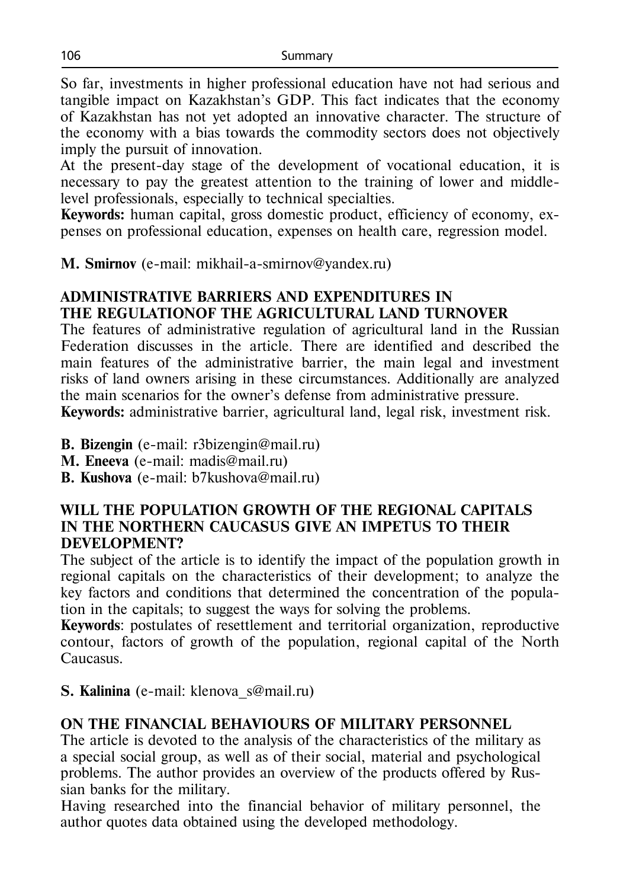So far, investments in higher professional education have not had serious and tangible impact on Kazakhstan's GDP. This fact indicates that the economy of Kazakhstan has not yet adopted an innovative character. The structure of the economy with a bias towards the commodity sectors does not objectively imply the pursuit of innovation.

At the present-day stage of the development of vocational education, it is necessary to pay the greatest attention to the training of lower and middlelevel professionals, especially to technical specialties.

**Keywords:** human capital, gross domestic product, efficiency of economy, expenses on professional education, expenses on health care, regression model.

**M. Smirnov** (e-mail: mikhail-a-smirnov@yandex.ru)

### **ADMINISTRATIVE BARRIERS AND EXPENDITURES IN THE REGULATIONOF THE AGRICULTURAL LAND TURNOVER**

The features of administrative regulation of agricultural land in the Russian Federation discusses in the article. There are identified and described the main features of the administrative barrier, the main legal and investment risks of land owners arising in these circumstances. Additionally are analyzed the main scenarios for the owner's defense from administrative pressure. **Keywords:** administrative barrier, agricultural land, legal risk, investment risk.

**B. Bizengin** (e-mail: r3bizengin@mail.ru)

**М. Eneeva** (e-mail: madis@mail.ru)

**B. Kushova** (e-mail: b7kushova@mail.ru)

#### **WILL THE POPULATION GROWTH OF THE REGIONAL CAPITALS IN THE NORTHERN CAUCASUS GIVE AN IMPETUS TO THEIR DEVELOPMENT?**

The subject of the article is to identify the impact of the population growth in regional capitals on the characteristics of their development; to analyze the key factors and conditions that determined the concentration of the population in the capitals; to suggest the ways for solving the problems.

**Keywords**: postulates of resettlement and territorial organization, reproductive contour, factors of growth of the population, regional capital of the North Caucasus.

**S. Kalinina** (e-mail: klenova\_s@mail.ru)

## **ON THE FINANCIAL BEHAVIOURS OF MILITARY PERSONNEL**

The article is devoted to the analysis of the characteristics of the military as a special social group, as well as of their social, material and psychological problems. The author provides an overview of the products offered by Russian banks for the military.

Having researched into the financial behavior of military personnel, the author quotes data obtained using the developed methodology.